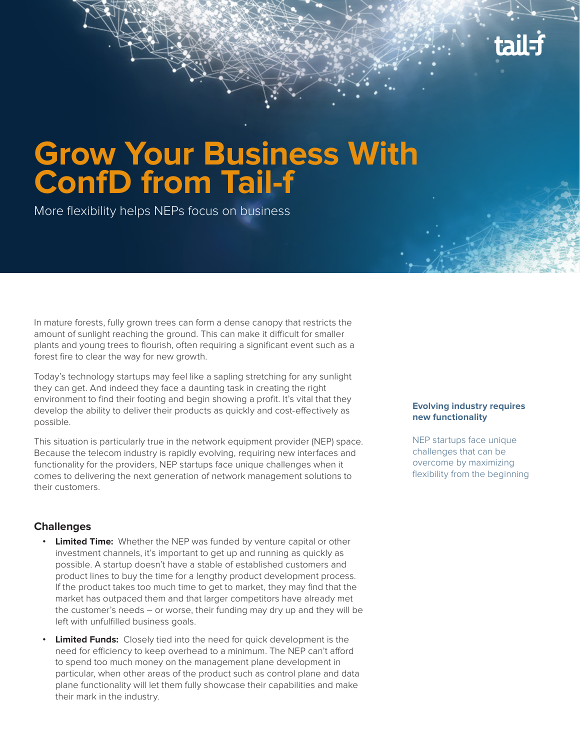

# **Grow Your Business With ConfD from Tail-f**

More flexibility helps NEPs focus on business

In mature forests, fully grown trees can form a dense canopy that restricts the amount of sunlight reaching the ground. This can make it difficult for smaller plants and young trees to flourish, often requiring a significant event such as a forest fire to clear the way for new growth.

Today's technology startups may feel like a sapling stretching for any sunlight they can get. And indeed they face a daunting task in creating the right environment to find their footing and begin showing a profit. It's vital that they develop the ability to deliver their products as quickly and cost-effectively as possible.

This situation is particularly true in the network equipment provider (NEP) space. Because the telecom industry is rapidly evolving, requiring new interfaces and functionality for the providers, NEP startups face unique challenges when it comes to delivering the next generation of network management solutions to their customers.

### **Challenges**

- **• Limited Time:** Whether the NEP was funded by venture capital or other investment channels, it's important to get up and running as quickly as possible. A startup doesn't have a stable of established customers and product lines to buy the time for a lengthy product development process. If the product takes too much time to get to market, they may find that the market has outpaced them and that larger competitors have already met the customer's needs – or worse, their funding may dry up and they will be left with unfulfilled business goals.
- **• Limited Funds:** Closely tied into the need for quick development is the need for efficiency to keep overhead to a minimum. The NEP can't afford to spend too much money on the management plane development in particular, when other areas of the product such as control plane and data plane functionality will let them fully showcase their capabilities and make their mark in the industry.

#### **Evolving industry requires new functionality**

NEP startups face unique challenges that can be overcome by maximizing flexibility from the beginning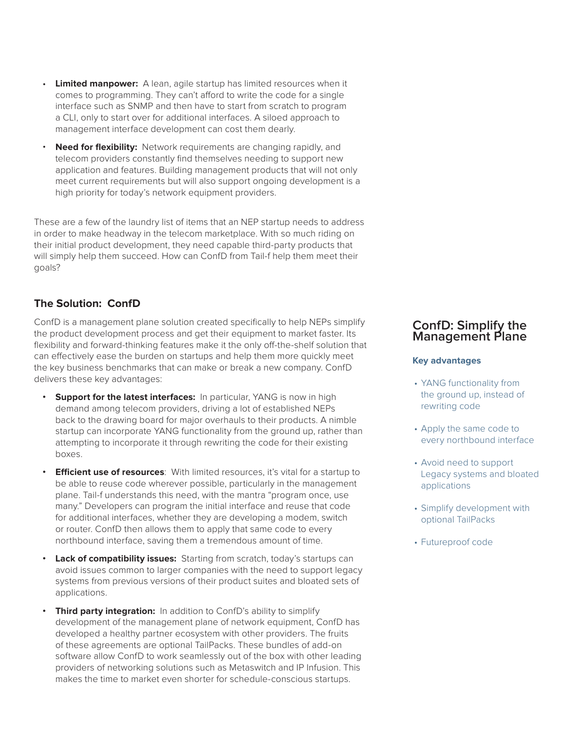- **Limited manpower:** A lean, agile startup has limited resources when it comes to programming. They can't afford to write the code for a single interface such as SNMP and then have to start from scratch to program a CLI, only to start over for additional interfaces. A siloed approach to management interface development can cost them dearly.
- **Need for flexibility:** Network requirements are changing rapidly, and telecom providers constantly find themselves needing to support new application and features. Building management products that will not only meet current requirements but will also support ongoing development is a high priority for today's network equipment providers.

These are a few of the laundry list of items that an NEP startup needs to address in order to make headway in the telecom marketplace. With so much riding on their initial product development, they need capable third-party products that will simply help them succeed. How can ConfD from Tail-f help them meet their goals?

# **The Solution: ConfD**

ConfD is a management plane solution created specifically to help NEPs simplify the product development process and get their equipment to market faster. Its flexibility and forward-thinking features make it the only off-the-shelf solution that can effectively ease the burden on startups and help them more quickly meet the key business benchmarks that can make or break a new company. ConfD delivers these key advantages:

- **Support for the latest interfaces:** In particular, YANG is now in high demand among telecom providers, driving a lot of established NEPs back to the drawing board for major overhauls to their products. A nimble startup can incorporate YANG functionality from the ground up, rather than attempting to incorporate it through rewriting the code for their existing boxes.
- **•• Efficient use of resources:** With limited resources, it's vital for a startup to be able to reuse code wherever possible, particularly in the management plane. Tail-f understands this need, with the mantra "program once, use many." Developers can program the initial interface and reuse that code for additional interfaces, whether they are developing a modem, switch or router. ConfD then allows them to apply that same code to every northbound interface, saving them a tremendous amount of time.
- **Lack of compatibility issues:** Starting from scratch, today's startups can avoid issues common to larger companies with the need to support legacy systems from previous versions of their product suites and bloated sets of applications.
- **Third party integration:** In addition to ConfD's ability to simplify development of the management plane of network equipment, ConfD has developed a healthy partner ecosystem with other providers. The fruits of these agreements are optional TailPacks. These bundles of add-on software allow ConfD to work seamlessly out of the box with other leading providers of networking solutions such as Metaswitch and IP Infusion. This makes the time to market even shorter for schedule-conscious startups.

# **ConfD: Simplify the Management Plane**

#### **Key advantages**

- YANG functionality from the ground up, instead of rewriting code
- Apply the same code to every northbound interface
- Avoid need to support Legacy systems and bloated applications
- Simplify development with optional TailPacks
- Futureproof code